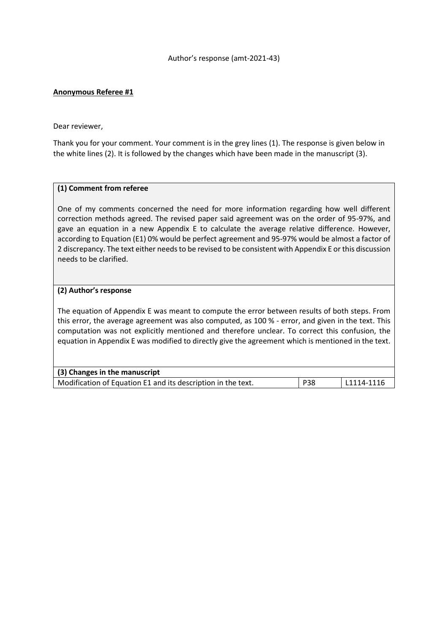### Author's response (amt-2021-43)

## **Anonymous Referee #1**

Dear reviewer,

Thank you for your comment. Your comment is in the grey lines (1). The response is given below in the white lines (2). It is followed by the changes which have been made in the manuscript (3).

#### **(1) Comment from referee**

One of my comments concerned the need for more information regarding how well different correction methods agreed. The revised paper said agreement was on the order of 95-97%, and gave an equation in a new Appendix E to calculate the average relative difference. However, according to Equation (E1) 0% would be perfect agreement and 95-97% would be almost a factor of 2 discrepancy. The text either needs to be revised to be consistent with Appendix E or this discussion needs to be clarified.

#### **(2) Author's response**

The equation of Appendix E was meant to compute the error between results of both steps. From this error, the average agreement was also computed, as 100 % - error, and given in the text. This computation was not explicitly mentioned and therefore unclear. To correct this confusion, the equation in Appendix E was modified to directly give the agreement which is mentioned in the text.

| (3) Changes in the manuscript                                |            |            |
|--------------------------------------------------------------|------------|------------|
| Modification of Equation E1 and its description in the text. | <b>P38</b> | L1114-1116 |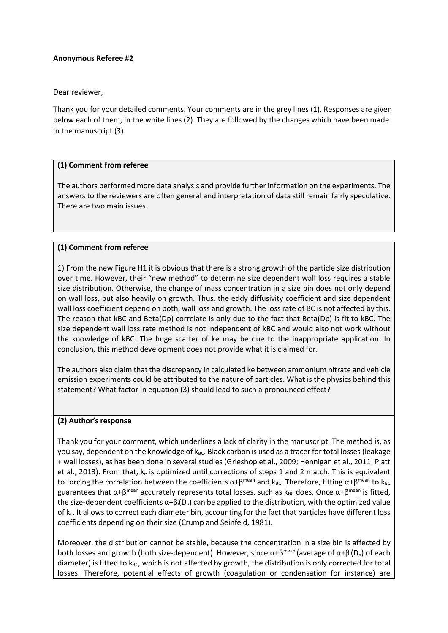# **Anonymous Referee #2**

### Dear reviewer,

Thank you for your detailed comments. Your comments are in the grey lines (1). Responses are given below each of them, in the white lines (2). They are followed by the changes which have been made in the manuscript (3).

## **(1) Comment from referee**

The authors performed more data analysis and provide further information on the experiments. The answers to the reviewers are often general and interpretation of data still remain fairly speculative. There are two main issues.

# **(1) Comment from referee**

1) From the new Figure H1 it is obvious that there is a strong growth of the particle size distribution over time. However, their "new method" to determine size dependent wall loss requires a stable size distribution. Otherwise, the change of mass concentration in a size bin does not only depend on wall loss, but also heavily on growth. Thus, the eddy diffusivity coefficient and size dependent wall loss coefficient depend on both, wall loss and growth. The loss rate of BC is not affected by this. The reason that kBC and Beta(Dp) correlate is only due to the fact that Beta(Dp) is fit to kBC. The size dependent wall loss rate method is not independent of kBC and would also not work without the knowledge of kBC. The huge scatter of ke may be due to the inappropriate application. In conclusion, this method development does not provide what it is claimed for.

The authors also claim that the discrepancy in calculated ke between ammonium nitrate and vehicle emission experiments could be attributed to the nature of particles. What is the physics behind this statement? What factor in equation (3) should lead to such a pronounced effect?

#### **(2) Author's response**

Thank you for your comment, which underlines a lack of clarity in the manuscript. The method is, as you say, dependent on the knowledge of  $k_{BC}$ . Black carbon is used as a tracer for total losses (leakage + wall losses), as has been done in several studies (Grieshop et al., 2009; Hennigan et al., 2011; Platt et al., 2013). From that,  $k_e$  is optimized until corrections of steps 1 and 2 match. This is equivalent to forcing the correlation between the coefficients  $\alpha+\beta^{mean}$  and  $k_{BC}$ . Therefore, fitting  $\alpha+\beta^{mean}$  to  $k_{BC}$ guarantees that  $\alpha+\beta$ <sup>mean</sup> accurately represents total losses, such as k<sub>BC</sub> does. Once  $\alpha+\beta$ <sup>mean</sup> is fitted, the size-dependent coefficients  $\alpha+\beta_1(D_p)$  can be applied to the distribution, with the optimized value of  $k_e$ . It allows to correct each diameter bin, accounting for the fact that particles have different loss coefficients depending on their size (Crump and Seinfeld, 1981).

Moreover, the distribution cannot be stable, because the concentration in a size bin is affected by both losses and growth (both size-dependent). However, since  $\alpha+\beta^{mean}$  (average of  $\alpha+\beta_i(D_p)$  of each diameter) is fitted to  $k_{BC}$ , which is not affected by growth, the distribution is only corrected for total losses. Therefore, potential effects of growth (coagulation or condensation for instance) are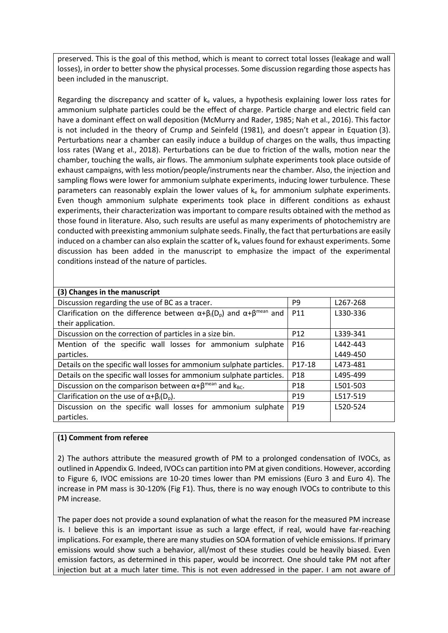preserved. This is the goal of this method, which is meant to correct total losses (leakage and wall losses), in order to better show the physical processes. Some discussion regarding those aspects has been included in the manuscript.

Regarding the discrepancy and scatter of  $k<sub>e</sub>$  values, a hypothesis explaining lower loss rates for ammonium sulphate particles could be the effect of charge. Particle charge and electric field can have a dominant effect on wall deposition (McMurry and Rader, 1985; Nah et al., 2016). This factor is not included in the theory of Crump and Seinfeld (1981), and doesn't appear in Equation (3). Perturbations near a chamber can easily induce a buildup of charges on the walls, thus impacting loss rates (Wang et al., 2018). Perturbations can be due to friction of the walls, motion near the chamber, touching the walls, air flows. The ammonium sulphate experiments took place outside of exhaust campaigns, with less motion/people/instruments near the chamber. Also, the injection and sampling flows were lower for ammonium sulphate experiments, inducing lower turbulence. These parameters can reasonably explain the lower values of  $k<sub>e</sub>$  for ammonium sulphate experiments. Even though ammonium sulphate experiments took place in different conditions as exhaust experiments, their characterization was important to compare results obtained with the method as those found in literature. Also, such results are useful as many experiments of photochemistry are conducted with preexisting ammonium sulphate seeds. Finally, the fact that perturbations are easily induced on a chamber can also explain the scatter of  $k<sub>e</sub>$  values found for exhaust experiments. Some discussion has been added in the manuscript to emphasize the impact of the experimental conditions instead of the nature of particles.

| (3) Changes in the manuscript                                                                   |                 |          |
|-------------------------------------------------------------------------------------------------|-----------------|----------|
| Discussion regarding the use of BC as a tracer.                                                 | P <sub>9</sub>  | L267-268 |
| Clarification on the difference between $\alpha + \beta_i(D_p)$ and $\alpha + \beta^{mean}$ and | P11             | L330-336 |
| their application.                                                                              |                 |          |
| Discussion on the correction of particles in a size bin.                                        | P <sub>12</sub> | L339-341 |
| Mention of the specific wall losses for ammonium sulphate                                       | P <sub>16</sub> | L442-443 |
| particles.                                                                                      |                 | L449-450 |
| Details on the specific wall losses for ammonium sulphate particles.                            | P17-18          | L473-481 |
| Details on the specific wall losses for ammonium sulphate particles.                            | P <sub>18</sub> | L495-499 |
| Discussion on the comparison between $\alpha + \beta^{mean}$ and $k_{BC}$ .                     | P <sub>18</sub> | L501-503 |
| Clarification on the use of $\alpha + \beta_i(D_p)$ .                                           | P <sub>19</sub> | L517-519 |
| Discussion on the specific wall losses for ammonium sulphate                                    | P <sub>19</sub> | L520-524 |
| particles.                                                                                      |                 |          |

# **(1) Comment from referee**

2) The authors attribute the measured growth of PM to a prolonged condensation of IVOCs, as outlined in Appendix G. Indeed, IVOCs can partition into PM at given conditions. However, according to Figure 6, IVOC emissions are 10-20 times lower than PM emissions (Euro 3 and Euro 4). The increase in PM mass is 30-120% (Fig F1). Thus, there is no way enough IVOCs to contribute to this PM increase.

The paper does not provide a sound explanation of what the reason for the measured PM increase is. I believe this is an important issue as such a large effect, if real, would have far-reaching implications. For example, there are many studies on SOA formation of vehicle emissions. If primary emissions would show such a behavior, all/most of these studies could be heavily biased. Even emission factors, as determined in this paper, would be incorrect. One should take PM not after injection but at a much later time. This is not even addressed in the paper. I am not aware of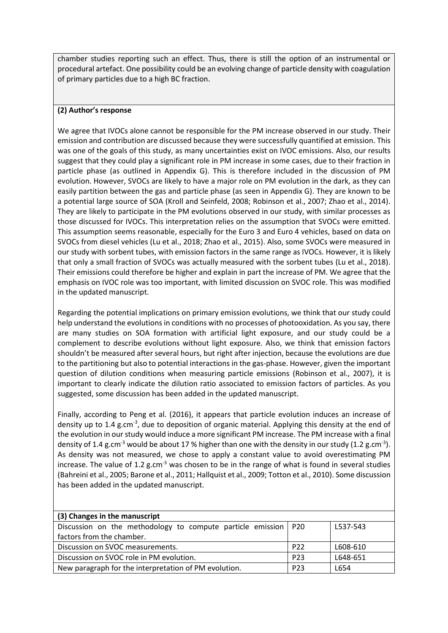chamber studies reporting such an effect. Thus, there is still the option of an instrumental or procedural artefact. One possibility could be an evolving change of particle density with coagulation of primary particles due to a high BC fraction.

# **(2) Author's response**

We agree that IVOCs alone cannot be responsible for the PM increase observed in our study. Their emission and contribution are discussed because they were successfully quantified at emission. This was one of the goals of this study, as many uncertainties exist on IVOC emissions. Also, our results suggest that they could play a significant role in PM increase in some cases, due to their fraction in particle phase (as outlined in Appendix G). This is therefore included in the discussion of PM evolution. However, SVOCs are likely to have a major role on PM evolution in the dark, as they can easily partition between the gas and particle phase (as seen in Appendix G). They are known to be a potential large source of SOA (Kroll and Seinfeld, 2008; Robinson et al., 2007; Zhao et al., 2014). They are likely to participate in the PM evolutions observed in our study, with similar processes as those discussed for IVOCs. This interpretation relies on the assumption that SVOCs were emitted. This assumption seems reasonable, especially for the Euro 3 and Euro 4 vehicles, based on data on SVOCs from diesel vehicles (Lu et al., 2018; Zhao et al., 2015). Also, some SVOCs were measured in our study with sorbent tubes, with emission factors in the same range as IVOCs. However, it is likely that only a small fraction of SVOCs was actually measured with the sorbent tubes (Lu et al., 2018). Their emissions could therefore be higher and explain in part the increase of PM. We agree that the emphasis on IVOC role was too important, with limited discussion on SVOC role. This was modified in the updated manuscript.

Regarding the potential implications on primary emission evolutions, we think that our study could help understand the evolutions in conditions with no processes of photooxidation. As you say, there are many studies on SOA formation with artificial light exposure, and our study could be a complement to describe evolutions without light exposure. Also, we think that emission factors shouldn't be measured after several hours, but right after injection, because the evolutions are due to the partitioning but also to potential interactions in the gas-phase. However, given the important question of dilution conditions when measuring particle emissions (Robinson et al., 2007), it is important to clearly indicate the dilution ratio associated to emission factors of particles. As you suggested, some discussion has been added in the updated manuscript.

Finally, according to Peng et al. (2016), it appears that particle evolution induces an increase of density up to 1.4 g.cm<sup>-3</sup>, due to deposition of organic material. Applying this density at the end of the evolution in our study would induce a more significant PM increase. The PM increase with a final density of 1.4 g.cm<sup>-3</sup> would be about 17 % higher than one with the density in our study (1.2 g.cm<sup>-3</sup>). As density was not measured, we chose to apply a constant value to avoid overestimating PM increase. The value of 1.2 g.cm<sup>-3</sup> was chosen to be in the range of what is found in several studies (Bahreini et al., 2005; Barone et al., 2011; Hallquist et al., 2009; Totton et al., 2010). Some discussion has been added in the updated manuscript.

| (3) Changes in the manuscript                                    |                 |          |
|------------------------------------------------------------------|-----------------|----------|
| Discussion on the methodology to compute particle emission   P20 |                 | L537-543 |
| factors from the chamber.                                        |                 |          |
| Discussion on SVOC measurements.                                 | P <sub>22</sub> | L608-610 |
| Discussion on SVOC role in PM evolution.                         | P <sub>23</sub> | L648-651 |
| New paragraph for the interpretation of PM evolution.            | P <sub>23</sub> | L654     |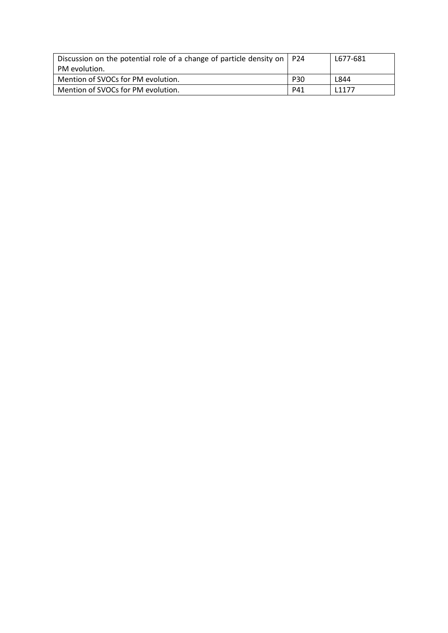| Discussion on the potential role of a change of particle density on $ $ P24 |            | L677-681 |
|-----------------------------------------------------------------------------|------------|----------|
| PM evolution.                                                               |            |          |
| Mention of SVOCs for PM evolution.                                          | <b>P30</b> | L844     |
| Mention of SVOCs for PM evolution.                                          | P41        | 11177    |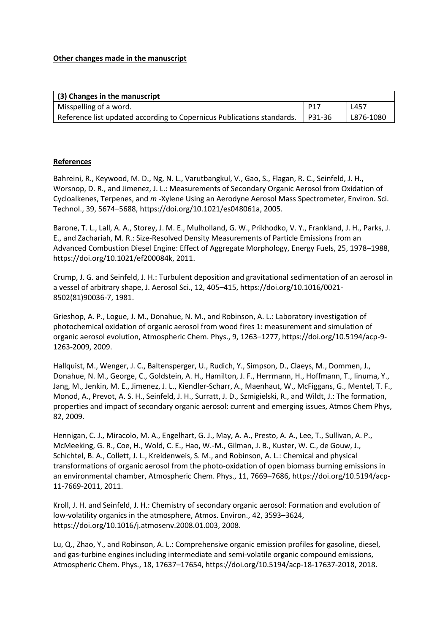## **Other changes made in the manuscript**

| (3) Changes in the manuscript                                          |          |           |
|------------------------------------------------------------------------|----------|-----------|
| Misspelling of a word.                                                 | P17      | L457      |
| Reference list updated according to Copernicus Publications standards. | l P31-36 | L876-1080 |

## **References**

Bahreini, R., Keywood, M. D., Ng, N. L., Varutbangkul, V., Gao, S., Flagan, R. C., Seinfeld, J. H., Worsnop, D. R., and Jimenez, J. L.: Measurements of Secondary Organic Aerosol from Oxidation of Cycloalkenes, Terpenes, and *m* -Xylene Using an Aerodyne Aerosol Mass Spectrometer, Environ. Sci. Technol., 39, 5674–5688, https://doi.org/10.1021/es048061a, 2005.

Barone, T. L., Lall, A. A., Storey, J. M. E., Mulholland, G. W., Prikhodko, V. Y., Frankland, J. H., Parks, J. E., and Zachariah, M. R.: Size-Resolved Density Measurements of Particle Emissions from an Advanced Combustion Diesel Engine: Effect of Aggregate Morphology, Energy Fuels, 25, 1978–1988, https://doi.org/10.1021/ef200084k, 2011.

Crump, J. G. and Seinfeld, J. H.: Turbulent deposition and gravitational sedimentation of an aerosol in a vessel of arbitrary shape, J. Aerosol Sci., 12, 405–415, https://doi.org/10.1016/0021- 8502(81)90036-7, 1981.

Grieshop, A. P., Logue, J. M., Donahue, N. M., and Robinson, A. L.: Laboratory investigation of photochemical oxidation of organic aerosol from wood fires 1: measurement and simulation of organic aerosol evolution, Atmospheric Chem. Phys., 9, 1263–1277, https://doi.org/10.5194/acp-9- 1263-2009, 2009.

Hallquist, M., Wenger, J. C., Baltensperger, U., Rudich, Y., Simpson, D., Claeys, M., Dommen, J., Donahue, N. M., George, C., Goldstein, A. H., Hamilton, J. F., Herrmann, H., Hoffmann, T., Iinuma, Y., Jang, M., Jenkin, M. E., Jimenez, J. L., Kiendler-Scharr, A., Maenhaut, W., McFiggans, G., Mentel, T. F., Monod, A., Prevot, A. S. H., Seinfeld, J. H., Surratt, J. D., Szmigielski, R., and Wildt, J.: The formation, properties and impact of secondary organic aerosol: current and emerging issues, Atmos Chem Phys, 82, 2009.

Hennigan, C. J., Miracolo, M. A., Engelhart, G. J., May, A. A., Presto, A. A., Lee, T., Sullivan, A. P., McMeeking, G. R., Coe, H., Wold, C. E., Hao, W.-M., Gilman, J. B., Kuster, W. C., de Gouw, J., Schichtel, B. A., Collett, J. L., Kreidenweis, S. M., and Robinson, A. L.: Chemical and physical transformations of organic aerosol from the photo-oxidation of open biomass burning emissions in an environmental chamber, Atmospheric Chem. Phys., 11, 7669–7686, https://doi.org/10.5194/acp-11-7669-2011, 2011.

Kroll, J. H. and Seinfeld, J. H.: Chemistry of secondary organic aerosol: Formation and evolution of low-volatility organics in the atmosphere, Atmos. Environ., 42, 3593–3624, https://doi.org/10.1016/j.atmosenv.2008.01.003, 2008.

Lu, Q., Zhao, Y., and Robinson, A. L.: Comprehensive organic emission profiles for gasoline, diesel, and gas-turbine engines including intermediate and semi-volatile organic compound emissions, Atmospheric Chem. Phys., 18, 17637–17654, https://doi.org/10.5194/acp-18-17637-2018, 2018.